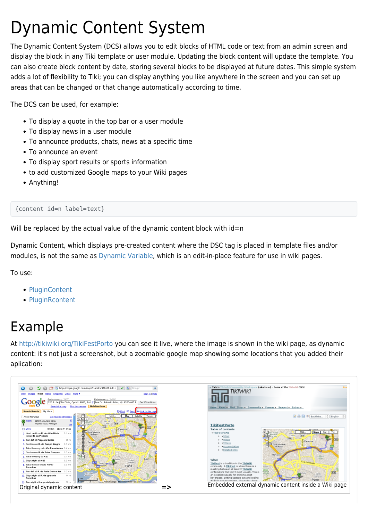# Dynamic Content System

The Dynamic Content System (DCS) allows you to edit blocks of HTML code or text from an admin screen and display the block in any Tiki template or user module. Updating the block content will update the template. You can also create block content by date, storing several blocks to be displayed at future dates. This simple system adds a lot of flexibility to Tiki; you can display anything you like anywhere in the screen and you can set up areas that can be changed or that change automatically according to time.

The DCS can be used, for example:

- To display a quote in the top bar or a user module
- To display news in a user module
- To announce products, chats, news at a specific time
- To announce an event
- To display sport results or sports information
- to add customized Google maps to your Wiki pages
- Anything!

{content id=n label=text}

Will be replaced by the actual value of the dynamic content block with id=n

Dynamic Content, which displays pre-created content where the DSC tag is placed in template files and/or modules, is not the same as [Dynamic Variable,](https://doc.tiki.org/Dynamic-Variable) which is an edit-in-place feature for use in wiki pages.

To use:

- [PluginContent](https://doc.tiki.org/PluginContent)
- [PluginRcontent](https://doc.tiki.org/PluginRcontent)

### Example

At <http://tikiwiki.org/TikiFestPorto>you can see it live, where the image is shown in the wiki page, as dynamic content: it's not just a screenshot, but a zoomable google map showing some locations that you added their aplication: